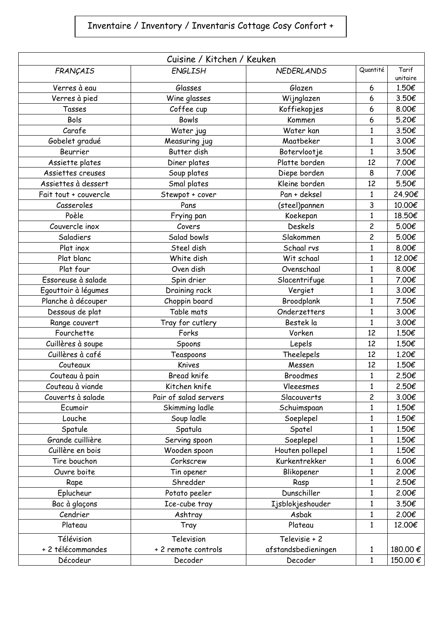## Inventaire / Inventory / Inventaris Cottage Cosy Confort +

| Cuisine / Kitchen / Keuken |                       |                     |                         |                   |  |  |  |
|----------------------------|-----------------------|---------------------|-------------------------|-------------------|--|--|--|
| FRANÇAIS                   | <b>ENGLISH</b>        | <b>NEDERLANDS</b>   | Quantité                | Tarif<br>unitaire |  |  |  |
| Verres à eau               | Glasses               | Glazen              | 6                       | 1.50€             |  |  |  |
| Verres à pied              | Wine glasses          | Wijnglazen          | 6                       | 3.50€             |  |  |  |
| Tasses                     | Coffee cup            | Koffiekopjes        | 6                       | 8.00€             |  |  |  |
| Bols                       | <b>Bowls</b>          | Kommen              | 6                       | 5.20€             |  |  |  |
| Carafe                     | Water jug             | Water kan           | 1                       | 3.50€             |  |  |  |
| Gobelet gradué             | Measuring jug         | Maatbeker           | 1                       | 3.00€             |  |  |  |
| Beurrier                   | Butter dish           | Botervlootje        | 1                       | 3.50€             |  |  |  |
| Assiette plates            | Diner plates          | Platte borden       | 12                      | 7.00€             |  |  |  |
| Assiettes creuses          | Soup plates           | Diepe borden        | 8                       | 7.00€             |  |  |  |
| Assiettes à dessert        | Smal plates           | Kleine borden       | 12                      | 5.50€             |  |  |  |
| Fait tout + couvercle      | Stewpot + cover       | Pan + deksel        | 1                       | 24.90€            |  |  |  |
| Casseroles                 | Pans                  | (steel)pannen       | 3                       | 10.00€            |  |  |  |
| Poèle                      | Frying pan            | Koekepan            | 1                       | 18.50€            |  |  |  |
| Couvercle inox             | Covers                | <b>Deskels</b>      | $\overline{c}$          | 5.00€             |  |  |  |
| Saladiers                  | Salad bowls           | Slakommen           | $\overline{\mathbf{c}}$ | 5.00€             |  |  |  |
| Plat inox                  | Steel dish            | Schaal rvs          | $\mathbf{1}$            | 8.00€             |  |  |  |
| Plat blanc                 | White dish            | Wit schaal          | $\mathbf{1}$            | 12.00€            |  |  |  |
| Plat four                  | Oven dish             | Ovenschaal          | 1                       | 8.00€             |  |  |  |
| Essoreuse à salade         | Spin drier            | Slacentrifuge       | 1                       | 7.00€             |  |  |  |
| Egouttoir à légumes        | Draining rack         | Vergiet             | 1                       | 3.00€             |  |  |  |
| Planche à découper         | Choppin board         | Broodplank          | 1                       | 7.50€             |  |  |  |
| Dessous de plat            | Table mats            | Onderzetters        | $\mathbf{1}$            | 3.00€             |  |  |  |
| Range couvert              | Tray for cutlery      | Bestek la           | 1                       | 3.00€             |  |  |  |
| Fourchette                 | Forks                 | Vorken              | 12                      | 1.50€             |  |  |  |
| Cuillères à soupe          | Spoons                | Lepels              | 12                      | 1.50€             |  |  |  |
| Cuillères à café           | Teaspoons             | Theelepels          | 12                      | 1.20€             |  |  |  |
| Couteaux                   | Knives                | Messen              | 12                      | 1.50€             |  |  |  |
| Couteau à pain             | Bread knife           | <b>Broodmes</b>     | 1                       | 2.50€             |  |  |  |
| Couteau à viande           | Kitchen knife         | Vleeesmes           | $\mathbf{1}$            | 2.50€             |  |  |  |
| Couverts à salade          | Pair of salad servers | Slacouverts         | 2                       | 3.00€             |  |  |  |
| Ecumoir                    | Skimming ladle        | Schuimspaan         | 1                       | 1.50€             |  |  |  |
| Louche                     | Soup ladle            | Soeplepel           | $\mathbf{1}$            | 1.50€             |  |  |  |
| Spatule                    | Spatula               | Spatel              | 1                       | 1.50€             |  |  |  |
| Grande cuillière           | Serving spoon         | Soeplepel           | 1                       | 1.50€             |  |  |  |
| Cuillère en bois           | Wooden spoon          | Houten pollepel     | 1                       | 1.50€             |  |  |  |
| Tire bouchon               | Corkscrew             | Kurkentrekker       | $\mathbf{1}$            | 6.00€             |  |  |  |
| Ouvre boite                | Tin opener            | Blikopener          | $\mathbf{1}$            | 2.00€             |  |  |  |
| Rape                       | Shredder              | Rasp                | 1                       | 2.50€             |  |  |  |
| Eplucheur                  | Potato peeler         | Dunschiller         | 1                       | 2.00€             |  |  |  |
| Bac à glaçons              | Ice-cube tray         | Ijsblokjeshouder    | 1                       | 3.50€             |  |  |  |
| Cendrier                   | Ashtray               | Asbak               | $\mathbf{1}$            | 2.00€             |  |  |  |
| Plateau                    | Tray                  | Plateau             | 1                       | 12.00€            |  |  |  |
| Télévision                 | Television            | Televisie + 2       |                         |                   |  |  |  |
| + 2 télécommandes          | + 2 remote controls   | afstandsbedieningen | 1                       | 180.00 €          |  |  |  |
| Décodeur                   | Decoder               | Decoder             | $\mathbf{1}$            | 150.00€           |  |  |  |